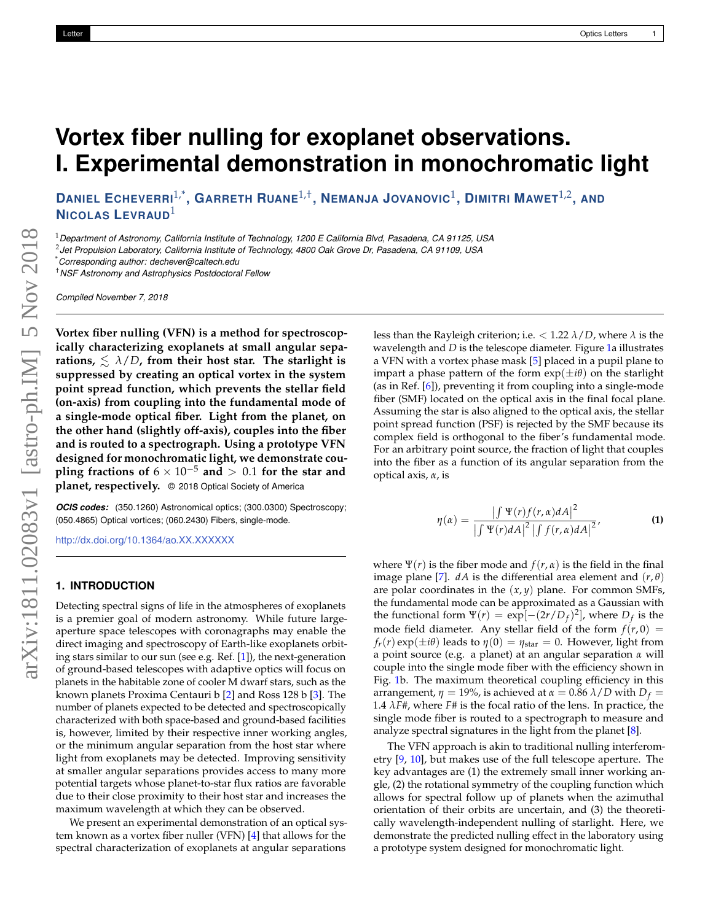# **Vortex fiber nulling for exoplanet observations. I. Experimental demonstration in monochromatic light**

DANIEL ECHEVERRI $^{1,*}$ , GARRETH RUANE $^{1,+}$ , NEMANJA JOVANOVIC $^1$ , DIMITRI MAWET $^{1,2}$ , AND **NICOLAS LEVRAUD**<sup>1</sup>

<sup>1</sup>*Department of Astronomy, California Institute of Technology, 1200 E California Blvd, Pasadena, CA 91125, USA*

2 *Jet Propulsion Laboratory, California Institute of Technology, 4800 Oak Grove Dr, Pasadena, CA 91109, USA*

\**Corresponding author: dechever@caltech.edu*

†*NSF Astronomy and Astrophysics Postdoctoral Fellow*

*Compiled November 7, 2018*

**Vortex fiber nulling (VFN) is a method for spectroscopically characterizing exoplanets at small angular sepa**rations,  $\leq \lambda/D$ , from their host star. The starlight is **suppressed by creating an optical vortex in the system point spread function, which prevents the stellar field (on-axis) from coupling into the fundamental mode of a single-mode optical fiber. Light from the planet, on the other hand (slightly off-axis), couples into the fiber and is routed to a spectrograph. Using a prototype VFN designed for monochromatic light, we demonstrate coupling fractions of**  $6 \times 10^{-5}$  **and**  $> 0.1$  for the star and **planet, respectively.** © 2018 Optical Society of America

*OCIS codes:* (350.1260) Astronomical optics; (300.0300) Spectroscopy; (050.4865) Optical vortices; (060.2430) Fibers, single-mode.

<http://dx.doi.org/10.1364/ao.XX.XXXXXX>

## **1. INTRODUCTION**

Detecting spectral signs of life in the atmospheres of exoplanets is a premier goal of modern astronomy. While future largeaperture space telescopes with coronagraphs may enable the direct imaging and spectroscopy of Earth-like exoplanets orbiting stars similar to our sun (see e.g. Ref. [\[1\]](#page-3-0)), the next-generation of ground-based telescopes with adaptive optics will focus on planets in the habitable zone of cooler M dwarf stars, such as the known planets Proxima Centauri b [\[2\]](#page-3-1) and Ross 128 b [\[3\]](#page-3-2). The number of planets expected to be detected and spectroscopically characterized with both space-based and ground-based facilities is, however, limited by their respective inner working angles, or the minimum angular separation from the host star where light from exoplanets may be detected. Improving sensitivity at smaller angular separations provides access to many more potential targets whose planet-to-star flux ratios are favorable due to their close proximity to their host star and increases the maximum wavelength at which they can be observed.

We present an experimental demonstration of an optical system known as a vortex fiber nuller (VFN) [\[4\]](#page-3-3) that allows for the spectral characterization of exoplanets at angular separations

less than the Rayleigh criterion; i.e. < 1.22 *λ*/*D*, where *λ* is the wavelength and *D* is the telescope diameter. Figure [1a](#page-1-0) illustrates a VFN with a vortex phase mask [\[5\]](#page-3-4) placed in a pupil plane to impart a phase pattern of the form  $exp(\pm i\theta)$  on the starlight (as in Ref. [\[6\]](#page-3-5)), preventing it from coupling into a single-mode fiber (SMF) located on the optical axis in the final focal plane. Assuming the star is also aligned to the optical axis, the stellar point spread function (PSF) is rejected by the SMF because its complex field is orthogonal to the fiber's fundamental mode. For an arbitrary point source, the fraction of light that couples into the fiber as a function of its angular separation from the optical axis, *α*, is

<span id="page-0-0"></span>
$$
\eta(\alpha) = \frac{\left|\int \Psi(r) f(r, \alpha) dA\right|^2}{\left|\int \Psi(r) dA\right|^2 \left|\int f(r, \alpha) dA\right|^2},\tag{1}
$$

where  $\Psi(r)$  is the fiber mode and  $f(r, \alpha)$  is the field in the final image plane [\[7\]](#page-3-6).  $dA$  is the differential area element and  $(r, \theta)$ are polar coordinates in the (*x*, *y*) plane. For common SMFs, the fundamental mode can be approximated as a Gaussian with the functional form  $\Psi(r) = \exp[-(2r/D_f)^2]$ , where  $D_f$  is the mode field diameter. Any stellar field of the form  $f(r, 0)$  =  $f_r(r) \exp(\pm i\theta)$  leads to  $\eta(0) = \eta_{\text{star}} = 0$ . However, light from a point source (e.g. a planet) at an angular separation *α* will couple into the single mode fiber with the efficiency shown in Fig. [1b](#page-1-0). The maximum theoretical coupling efficiency in this arrangement,  $\eta = 19\%$ , is achieved at  $\alpha = 0.86 \lambda/D$  with  $D_f =$ 1.4  $\lambda$ *F*#, where *F*# is the focal ratio of the lens. In practice, the single mode fiber is routed to a spectrograph to measure and analyze spectral signatures in the light from the planet [\[8\]](#page-3-7).

The VFN approach is akin to traditional nulling interferometry [\[9,](#page-3-8) [10\]](#page-3-9), but makes use of the full telescope aperture. The key advantages are (1) the extremely small inner working angle, (2) the rotational symmetry of the coupling function which allows for spectral follow up of planets when the azimuthal orientation of their orbits are uncertain, and (3) the theoretically wavelength-independent nulling of starlight. Here, we demonstrate the predicted nulling effect in the laboratory using a prototype system designed for monochromatic light.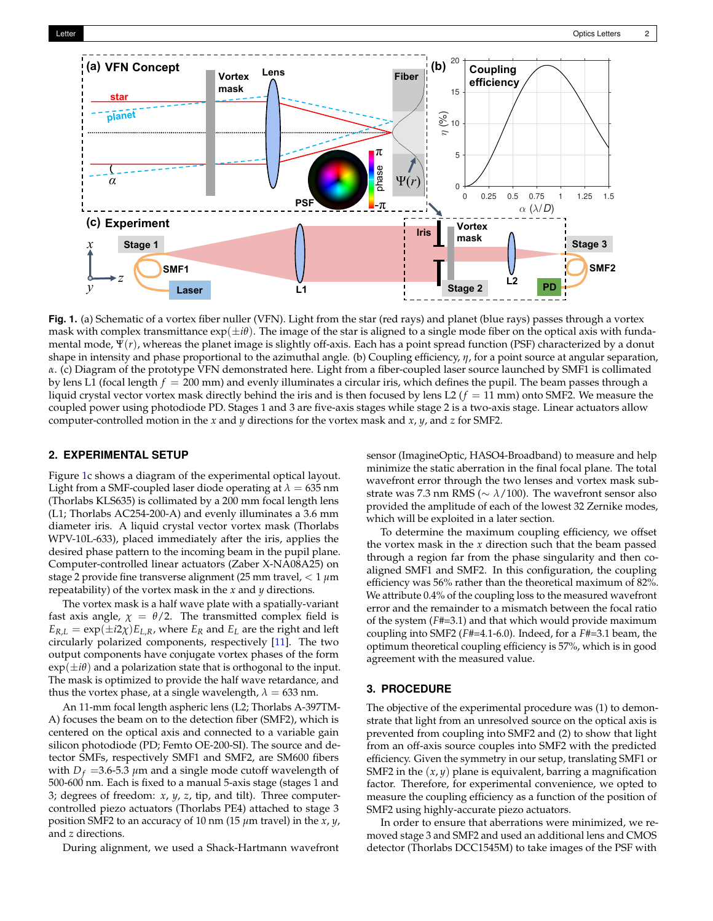<span id="page-1-0"></span>

**Fig. 1.** (a) Schematic of a vortex fiber nuller (VFN). Light from the star (red rays) and planet (blue rays) passes through a vortex mask with complex transmittance  $\exp(\pm i\theta)$ . The image of the star is aligned to a single mode fiber on the optical axis with fundamental mode, Ψ(*r*), whereas the planet image is slightly off-axis. Each has a point spread function (PSF) characterized by a donut shape in intensity and phase proportional to the azimuthal angle. (b) Coupling efficiency, *η*, for a point source at angular separation, *α*. (c) Diagram of the prototype VFN demonstrated here. Light from a fiber-coupled laser source launched by SMF1 is collimated by lens L1 (focal length *f* = 200 mm) and evenly illuminates a circular iris, which defines the pupil. The beam passes through a liquid crystal vector vortex mask directly behind the iris and is then focused by lens L2 ( $f = 11$  mm) onto SMF2. We measure the coupled power using photodiode PD. Stages 1 and 3 are five-axis stages while stage 2 is a two-axis stage. Linear actuators allow computer-controlled motion in the *x* and *y* directions for the vortex mask and *x*, *y*, and *z* for SMF2.

#### **2. EXPERIMENTAL SETUP**

Figure [1c](#page-1-0) shows a diagram of the experimental optical layout. Light from a SMF-coupled laser diode operating at  $\lambda = 635$  nm (Thorlabs KLS635) is collimated by a 200 mm focal length lens (L1; Thorlabs AC254-200-A) and evenly illuminates a 3.6 mm diameter iris. A liquid crystal vector vortex mask (Thorlabs WPV-10L-633), placed immediately after the iris, applies the desired phase pattern to the incoming beam in the pupil plane. Computer-controlled linear actuators (Zaber X-NA08A25) on stage 2 provide fine transverse alignment (25 mm travel, < 1 *µ*m repeatability) of the vortex mask in the *x* and *y* directions.

The vortex mask is a half wave plate with a spatially-variant fast axis angle,  $\chi = \theta/2$ . The transmitted complex field is  $E_{R,L} = \exp(\pm i2\chi) E_{L,R}$ , where  $E_R$  and  $E_L$  are the right and left circularly polarized components, respectively [\[11\]](#page-3-10). The two output components have conjugate vortex phases of the form  $\exp(\pm i\theta)$  and a polarization state that is orthogonal to the input. The mask is optimized to provide the half wave retardance, and thus the vortex phase, at a single wavelength,  $\lambda = 633$  nm.

An 11-mm focal length aspheric lens (L2; Thorlabs A-397TM-A) focuses the beam on to the detection fiber (SMF2), which is centered on the optical axis and connected to a variable gain silicon photodiode (PD; Femto OE-200-SI). The source and detector SMFs, respectively SMF1 and SMF2, are SM600 fibers with  $D_f$  =3.6-5.3  $\mu$ m and a single mode cutoff wavelength of 500-600 nm. Each is fixed to a manual 5-axis stage (stages 1 and 3; degrees of freedom: *x*, *y*, *z*, tip, and tilt). Three computercontrolled piezo actuators (Thorlabs PE4) attached to stage 3 position SMF2 to an accuracy of 10 nm (15 *µ*m travel) in the *x*, *y*, and *z* directions.

During alignment, we used a Shack-Hartmann wavefront

sensor (ImagineOptic, HASO4-Broadband) to measure and help minimize the static aberration in the final focal plane. The total wavefront error through the two lenses and vortex mask substrate was 7.3 nm RMS (∼ *λ*/100). The wavefront sensor also provided the amplitude of each of the lowest 32 Zernike modes, which will be exploited in a later section.

To determine the maximum coupling efficiency, we offset the vortex mask in the *x* direction such that the beam passed through a region far from the phase singularity and then coaligned SMF1 and SMF2. In this configuration, the coupling efficiency was 56% rather than the theoretical maximum of 82%. We attribute 0.4% of the coupling loss to the measured wavefront error and the remainder to a mismatch between the focal ratio of the system (*F*#=3.1) and that which would provide maximum coupling into SMF2 (*F*#=4.1-6.0). Indeed, for a *F*#=3.1 beam, the optimum theoretical coupling efficiency is 57%, which is in good agreement with the measured value.

# **3. PROCEDURE**

The objective of the experimental procedure was (1) to demonstrate that light from an unresolved source on the optical axis is prevented from coupling into SMF2 and (2) to show that light from an off-axis source couples into SMF2 with the predicted efficiency. Given the symmetry in our setup, translating SMF1 or SMF2 in the  $(x, y)$  plane is equivalent, barring a magnification factor. Therefore, for experimental convenience, we opted to measure the coupling efficiency as a function of the position of SMF2 using highly-accurate piezo actuators.

In order to ensure that aberrations were minimized, we removed stage 3 and SMF2 and used an additional lens and CMOS detector (Thorlabs DCC1545M) to take images of the PSF with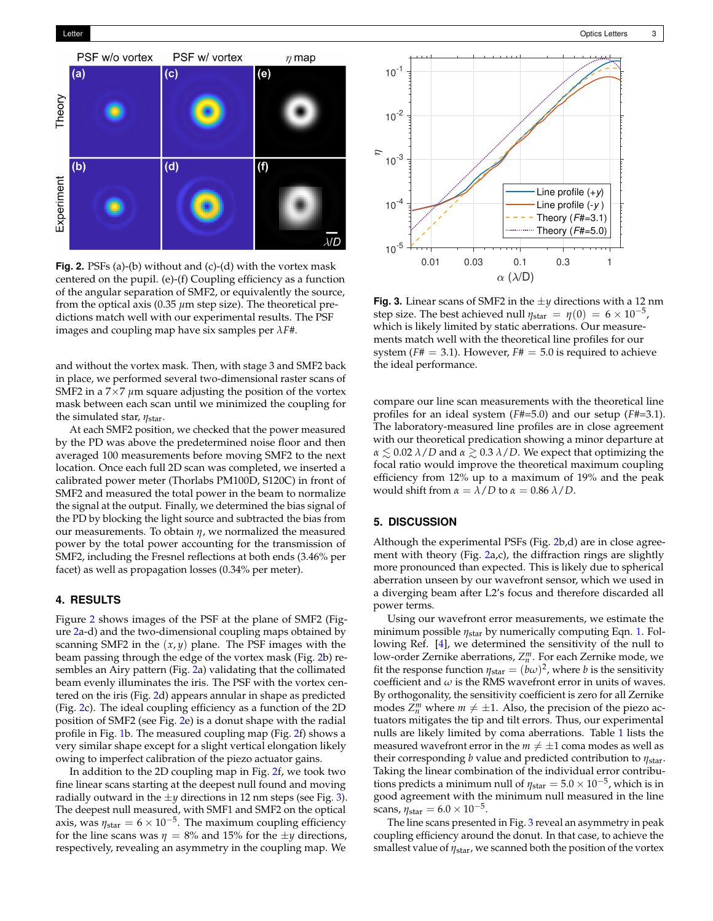<span id="page-2-0"></span>

**Fig. 2.** PSFs (a)-(b) without and (c)-(d) with the vortex mask centered on the pupil. (e)-(f) Coupling efficiency as a function of the angular separation of SMF2, or equivalently the source, from the optical axis (0.35  $\mu$ m step size). The theoretical predictions match well with our experimental results. The PSF images and coupling map have six samples per *λF*#.

and without the vortex mask. Then, with stage 3 and SMF2 back in place, we performed several two-dimensional raster scans of SMF2 in a  $7\times7$   $\mu$ m square adjusting the position of the vortex mask between each scan until we minimized the coupling for the simulated star, *η*star.

At each SMF2 position, we checked that the power measured by the PD was above the predetermined noise floor and then averaged 100 measurements before moving SMF2 to the next location. Once each full 2D scan was completed, we inserted a calibrated power meter (Thorlabs PM100D, S120C) in front of SMF2 and measured the total power in the beam to normalize the signal at the output. Finally, we determined the bias signal of the PD by blocking the light source and subtracted the bias from our measurements. To obtain *η*, we normalized the measured power by the total power accounting for the transmission of SMF2, including the Fresnel reflections at both ends (3.46% per facet) as well as propagation losses (0.34% per meter).

## **4. RESULTS**

Figure [2](#page-2-0) shows images of the PSF at the plane of SMF2 (Figure [2a](#page-2-0)-d) and the two-dimensional coupling maps obtained by scanning SMF2 in the  $(x, y)$  plane. The PSF images with the beam passing through the edge of the vortex mask (Fig. [2b](#page-2-0)) resembles an Airy pattern (Fig. [2a](#page-2-0)) validating that the collimated beam evenly illuminates the iris. The PSF with the vortex centered on the iris (Fig. [2d](#page-2-0)) appears annular in shape as predicted (Fig. [2c](#page-2-0)). The ideal coupling efficiency as a function of the 2D position of SMF2 (see Fig. [2e](#page-2-0)) is a donut shape with the radial profile in Fig. [1b](#page-1-0). The measured coupling map (Fig. [2f](#page-2-0)) shows a very similar shape except for a slight vertical elongation likely owing to imperfect calibration of the piezo actuator gains.

In addition to the 2D coupling map in Fig. [2f](#page-2-0), we took two fine linear scans starting at the deepest null found and moving radially outward in the  $\pm y$  directions in 12 nm steps (see Fig. [3\)](#page-2-1). The deepest null measured, with SMF1 and SMF2 on the optical axis, was  $\eta_{\text{star}} = 6 \times 10^{-5}$ . The maximum coupling efficiency for the line scans was  $\eta = 8\%$  and 15% for the  $\pm y$  directions, respectively, revealing an asymmetry in the coupling map. We

<span id="page-2-1"></span>

**Fig. 3.** Linear scans of SMF2 in the  $\pm y$  directions with a 12 nm step size. The best achieved null  $\eta_{\text{star}} = \eta(0) = 6 \times 10^{-5}$ , which is likely limited by static aberrations. Our measurements match well with the theoretical line profiles for our system ( $F# = 3.1$ ). However,  $F# = 5.0$  is required to achieve the ideal performance.

compare our line scan measurements with the theoretical line profiles for an ideal system (*F*#=5.0) and our setup (*F*#=3.1). The laboratory-measured line profiles are in close agreement with our theoretical predication showing a minor departure at  $\alpha \lesssim 0.02$   $\lambda/D$  and  $\alpha \gtrsim 0.3$   $\lambda/D$ . We expect that optimizing the focal ratio would improve the theoretical maximum coupling efficiency from 12% up to a maximum of 19% and the peak would shift from *α* = *λ*/*D* to *α* = 0.86 *λ*/*D*.

## **5. DISCUSSION**

Although the experimental PSFs (Fig. [2b](#page-2-0),d) are in close agreement with theory (Fig. [2a](#page-2-0),c), the diffraction rings are slightly more pronounced than expected. This is likely due to spherical aberration unseen by our wavefront sensor, which we used in a diverging beam after L2's focus and therefore discarded all power terms.

Using our wavefront error measurements, we estimate the minimum possible *η*star by numerically computing Eqn. [1.](#page-0-0) Following Ref. [\[4\]](#page-3-3), we determined the sensitivity of the null to low-order Zernike aberrations,  $Z_n^m$ . For each Zernike mode, we fit the response function  $\eta_{\text{star}} = (b\omega)^2$ , where *b* is the sensitivity coefficient and  $\omega$  is the RMS wavefront error in units of waves. By orthogonality, the sensitivity coefficient is zero for all Zernike modes  $Z_n^m$  where  $m \neq \pm 1$ . Also, the precision of the piezo actuators mitigates the tip and tilt errors. Thus, our experimental nulls are likely limited by coma aberrations. Table [1](#page-3-11) lists the measured wavefront error in the  $m \neq \pm 1$  coma modes as well as their corresponding *b* value and predicted contribution to *η*star. Taking the linear combination of the individual error contributions predicts a minimum null of  $\eta_{\rm star} = 5.0 \times 10^{-5}$ , which is in good agreement with the minimum null measured in the line scans,  $\eta_{\text{star}} = 6.0 \times 10^{-5}$ .

The line scans presented in Fig. [3](#page-2-1) reveal an asymmetry in peak coupling efficiency around the donut. In that case, to achieve the smallest value of *η*star, we scanned both the position of the vortex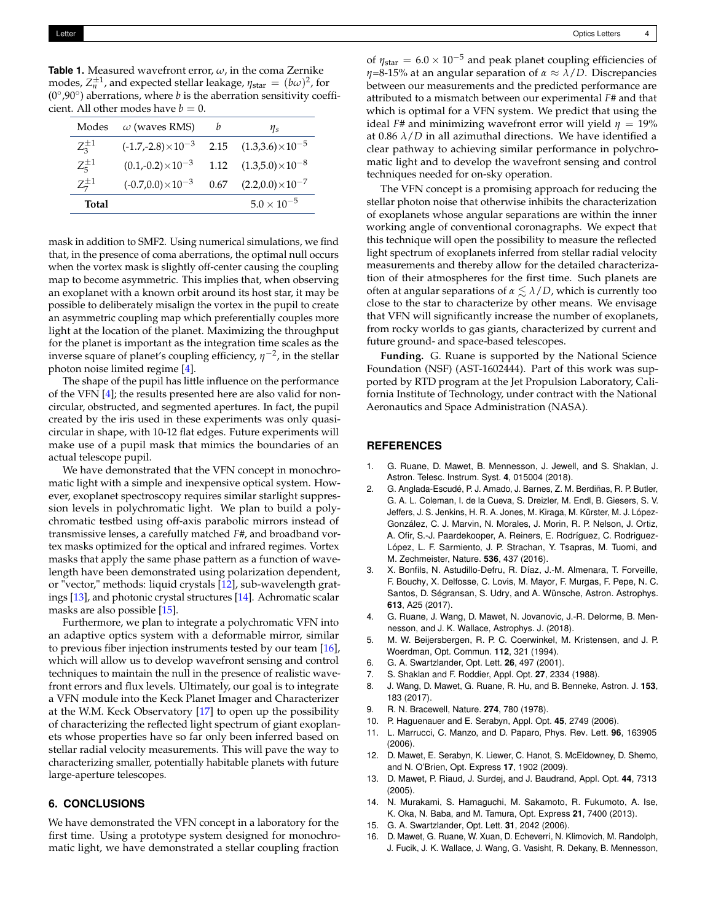<span id="page-3-11"></span>**Table 1.** Measured wavefront error, *ω*, in the coma Zernike modes,  $Z_n^{\pm 1}$ , and expected stellar leakage,  $\eta_{\text{star}} = (b\omega)^2$ , for  $(0^{\circ},90^{\circ})$  aberrations, where *b* is the aberration sensitivity coefficient. All other modes have  $b = 0$ .

| Modes         | $\omega$ (waves RMS)       | h    | $\eta_s$                      |
|---------------|----------------------------|------|-------------------------------|
| $Z_3^{\pm 1}$ | $(-1.7,-2.8)\times10^{-3}$ |      | 2.15 $(1.3,3.6)\times10^{-5}$ |
| $Z_5^{\pm 1}$ | $(0.1,-0.2)\times10^{-3}$  | 1.12 | $(1.3,5.0)\times10^{-8}$      |
| $Z_7^{\pm 1}$ | $(-0.7,0.0)\times10^{-3}$  | 0.67 | $(2.2,0.0)\times10^{-7}$      |
| Total         |                            |      | $5.0 \times 10^{-5}$          |

mask in addition to SMF2. Using numerical simulations, we find that, in the presence of coma aberrations, the optimal null occurs when the vortex mask is slightly off-center causing the coupling map to become asymmetric. This implies that, when observing an exoplanet with a known orbit around its host star, it may be possible to deliberately misalign the vortex in the pupil to create an asymmetric coupling map which preferentially couples more light at the location of the planet. Maximizing the throughput for the planet is important as the integration time scales as the inverse square of planet's coupling efficiency, *η* −2 , in the stellar photon noise limited regime [\[4\]](#page-3-3).

The shape of the pupil has little influence on the performance of the VFN [\[4\]](#page-3-3); the results presented here are also valid for noncircular, obstructed, and segmented apertures. In fact, the pupil created by the iris used in these experiments was only quasicircular in shape, with 10-12 flat edges. Future experiments will make use of a pupil mask that mimics the boundaries of an actual telescope pupil.

We have demonstrated that the VFN concept in monochromatic light with a simple and inexpensive optical system. However, exoplanet spectroscopy requires similar starlight suppression levels in polychromatic light. We plan to build a polychromatic testbed using off-axis parabolic mirrors instead of transmissive lenses, a carefully matched *F*#, and broadband vortex masks optimized for the optical and infrared regimes. Vortex masks that apply the same phase pattern as a function of wavelength have been demonstrated using polarization dependent, or "vector," methods: liquid crystals [\[12\]](#page-3-12), sub-wavelength gratings [\[13\]](#page-3-13), and photonic crystal structures [\[14\]](#page-3-14). Achromatic scalar masks are also possible [\[15\]](#page-3-15).

Furthermore, we plan to integrate a polychromatic VFN into an adaptive optics system with a deformable mirror, similar to previous fiber injection instruments tested by our team [\[16\]](#page-3-16), which will allow us to develop wavefront sensing and control techniques to maintain the null in the presence of realistic wavefront errors and flux levels. Ultimately, our goal is to integrate a VFN module into the Keck Planet Imager and Characterizer at the W.M. Keck Observatory [\[17\]](#page-4-0) to open up the possibility of characterizing the reflected light spectrum of giant exoplanets whose properties have so far only been inferred based on stellar radial velocity measurements. This will pave the way to characterizing smaller, potentially habitable planets with future large-aperture telescopes.

## **6. CONCLUSIONS**

We have demonstrated the VFN concept in a laboratory for the first time. Using a prototype system designed for monochromatic light, we have demonstrated a stellar coupling fraction

of  $\eta_{\text{star}} = 6.0 \times 10^{-5}$  and peak planet coupling efficiencies of *η*=8-15% at an angular separation of *α* ≈ *λ*/*D*. Discrepancies between our measurements and the predicted performance are attributed to a mismatch between our experimental *F*# and that which is optimal for a VFN system. We predict that using the ideal *F*# and minimizing wavefront error will yield  $\eta = 19\%$ at 0.86  $\lambda/D$  in all azimuthal directions. We have identified a clear pathway to achieving similar performance in polychromatic light and to develop the wavefront sensing and control techniques needed for on-sky operation.

The VFN concept is a promising approach for reducing the stellar photon noise that otherwise inhibits the characterization of exoplanets whose angular separations are within the inner working angle of conventional coronagraphs. We expect that this technique will open the possibility to measure the reflected light spectrum of exoplanets inferred from stellar radial velocity measurements and thereby allow for the detailed characterization of their atmospheres for the first time. Such planets are often at angular separations of  $\alpha \leq \lambda/D$ , which is currently too close to the star to characterize by other means. We envisage that VFN will significantly increase the number of exoplanets, from rocky worlds to gas giants, characterized by current and future ground- and space-based telescopes.

**Funding.** G. Ruane is supported by the National Science Foundation (NSF) (AST-1602444). Part of this work was supported by RTD program at the Jet Propulsion Laboratory, California Institute of Technology, under contract with the National Aeronautics and Space Administration (NASA).

#### **REFERENCES**

- <span id="page-3-0"></span>1. G. Ruane, D. Mawet, B. Mennesson, J. Jewell, and S. Shaklan, J. Astron. Telesc. Instrum. Syst. **4**, 015004 (2018).
- <span id="page-3-1"></span>2. G. Anglada-Escudé, P. J. Amado, J. Barnes, Z. M. Berdiñas, R. P. Butler, G. A. L. Coleman, I. de la Cueva, S. Dreizler, M. Endl, B. Giesers, S. V. Jeffers, J. S. Jenkins, H. R. A. Jones, M. Kiraga, M. Kürster, M. J. López-González, C. J. Marvin, N. Morales, J. Morin, R. P. Nelson, J. Ortiz, A. Ofir, S.-J. Paardekooper, A. Reiners, E. Rodríguez, C. Rodriguez-López, L. F. Sarmiento, J. P. Strachan, Y. Tsapras, M. Tuomi, and M. Zechmeister, Nature. **536**, 437 (2016).
- <span id="page-3-2"></span>3. X. Bonfils, N. Astudillo-Defru, R. Díaz, J.-M. Almenara, T. Forveille, F. Bouchy, X. Delfosse, C. Lovis, M. Mayor, F. Murgas, F. Pepe, N. C. Santos, D. Ségransan, S. Udry, and A. Wünsche, Astron. Astrophys. **613**, A25 (2017).
- <span id="page-3-3"></span>4. G. Ruane, J. Wang, D. Mawet, N. Jovanovic, J.-R. Delorme, B. Mennesson, and J. K. Wallace, Astrophys. J. (2018).
- <span id="page-3-4"></span>5. M. W. Beijersbergen, R. P. C. Coerwinkel, M. Kristensen, and J. P. Woerdman, Opt. Commun. **112**, 321 (1994).
- <span id="page-3-5"></span>6. G. A. Swartzlander, Opt. Lett. **26**, 497 (2001).
- <span id="page-3-6"></span>7. S. Shaklan and F. Roddier, Appl. Opt. **27**, 2334 (1988).
- <span id="page-3-7"></span>8. J. Wang, D. Mawet, G. Ruane, R. Hu, and B. Benneke, Astron. J. **153**, 183 (2017).
- <span id="page-3-8"></span>9. R. N. Bracewell, Nature. **274**, 780 (1978).
- <span id="page-3-9"></span>10. P. Haguenauer and E. Serabyn, Appl. Opt. **45**, 2749 (2006).
- <span id="page-3-10"></span>11. L. Marrucci, C. Manzo, and D. Paparo, Phys. Rev. Lett. **96**, 163905 (2006).
- <span id="page-3-12"></span>12. D. Mawet, E. Serabyn, K. Liewer, C. Hanot, S. McEldowney, D. Shemo, and N. O'Brien, Opt. Express **17**, 1902 (2009).
- <span id="page-3-13"></span>13. D. Mawet, P. Riaud, J. Surdej, and J. Baudrand, Appl. Opt. **44**, 7313  $(2005)$
- <span id="page-3-14"></span>14. N. Murakami, S. Hamaguchi, M. Sakamoto, R. Fukumoto, A. Ise, K. Oka, N. Baba, and M. Tamura, Opt. Express **21**, 7400 (2013).
- <span id="page-3-15"></span>15. G. A. Swartzlander, Opt. Lett. **31**, 2042 (2006).
- <span id="page-3-16"></span>16. D. Mawet, G. Ruane, W. Xuan, D. Echeverri, N. Klimovich, M. Randolph, J. Fucik, J. K. Wallace, J. Wang, G. Vasisht, R. Dekany, B. Mennesson,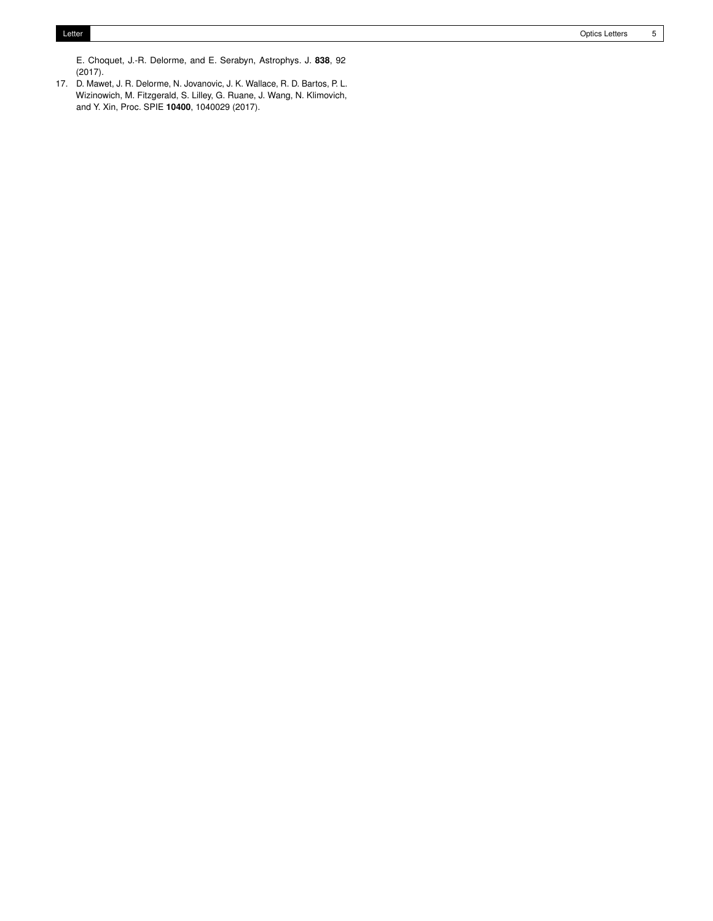E. Choquet, J.-R. Delorme, and E. Serabyn, Astrophys. J. **838**, 92 (2017).

<span id="page-4-0"></span>17. D. Mawet, J. R. Delorme, N. Jovanovic, J. K. Wallace, R. D. Bartos, P. L. Wizinowich, M. Fitzgerald, S. Lilley, G. Ruane, J. Wang, N. Klimovich, and Y. Xin, Proc. SPIE **10400**, 1040029 (2017).